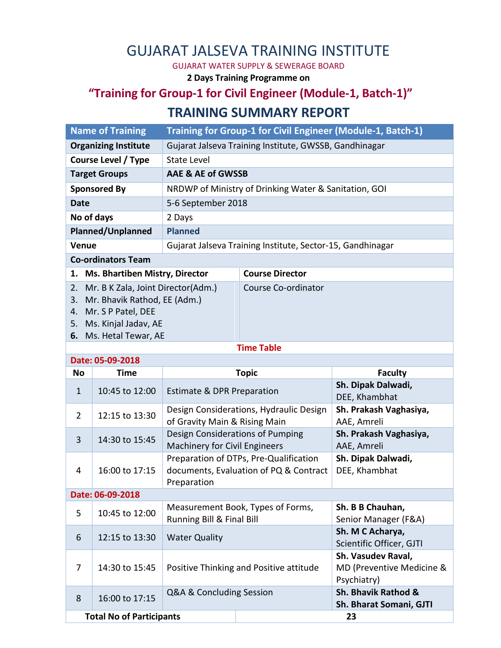## GUJARAT JALSEVA TRAINING INSTITUTE

GUJARAT WATER SUPPLY & SEWERAGE BOARD

**2 Days Training Programme on**

## **"Training for Group-1 for Civil Engineer (Module-1, Batch-1)" TRAINING SUMMARY REPORT**

|                                             | <b>Name of Training</b>                                                                                                                    | Training for Group-1 for Civil Engineer (Module-1, Batch-1)              |                                                                                  |                                                 |  |  |  |  |
|---------------------------------------------|--------------------------------------------------------------------------------------------------------------------------------------------|--------------------------------------------------------------------------|----------------------------------------------------------------------------------|-------------------------------------------------|--|--|--|--|
| <b>Organizing Institute</b>                 |                                                                                                                                            | Gujarat Jalseva Training Institute, GWSSB, Gandhinagar                   |                                                                                  |                                                 |  |  |  |  |
| <b>Course Level / Type</b>                  |                                                                                                                                            | <b>State Level</b>                                                       |                                                                                  |                                                 |  |  |  |  |
| <b>Target Groups</b>                        |                                                                                                                                            | <b>AAE &amp; AE of GWSSB</b>                                             |                                                                                  |                                                 |  |  |  |  |
| <b>Sponsored By</b>                         |                                                                                                                                            | NRDWP of Ministry of Drinking Water & Sanitation, GOI                    |                                                                                  |                                                 |  |  |  |  |
| <b>Date</b>                                 |                                                                                                                                            | 5-6 September 2018                                                       |                                                                                  |                                                 |  |  |  |  |
| No of days                                  |                                                                                                                                            | 2 Days                                                                   |                                                                                  |                                                 |  |  |  |  |
| Planned/Unplanned                           |                                                                                                                                            | <b>Planned</b>                                                           |                                                                                  |                                                 |  |  |  |  |
| Venue                                       |                                                                                                                                            | Gujarat Jalseva Training Institute, Sector-15, Gandhinagar               |                                                                                  |                                                 |  |  |  |  |
| <b>Co-ordinators Team</b>                   |                                                                                                                                            |                                                                          |                                                                                  |                                                 |  |  |  |  |
| <b>Ms. Bhartiben Mistry, Director</b><br>1. |                                                                                                                                            | <b>Course Director</b>                                                   |                                                                                  |                                                 |  |  |  |  |
| 2.<br>3.<br>4.<br>5.                        | Mr. B K Zala, Joint Director(Adm.)<br>Mr. Bhavik Rathod, EE (Adm.)<br>Mr. S P Patel, DEE<br>Ms. Kinjal Jadav, AE<br>6. Ms. Hetal Tewar, AE |                                                                          | Course Co-ordinator                                                              |                                                 |  |  |  |  |
|                                             |                                                                                                                                            |                                                                          | <b>Time Table</b>                                                                |                                                 |  |  |  |  |
| Date: 05-09-2018                            |                                                                                                                                            |                                                                          |                                                                                  |                                                 |  |  |  |  |
| <b>No</b>                                   | <b>Time</b>                                                                                                                                | <b>Topic</b>                                                             |                                                                                  | <b>Faculty</b>                                  |  |  |  |  |
| $\mathbf{1}$                                | 10:45 to 12:00                                                                                                                             | <b>Estimate &amp; DPR Preparation</b>                                    |                                                                                  | Sh. Dipak Dalwadi,<br>DEE, Khambhat             |  |  |  |  |
| $\overline{2}$                              | 12:15 to 13:30                                                                                                                             | Design Considerations, Hydraulic Design<br>of Gravity Main & Rising Main |                                                                                  | Sh. Prakash Vaghasiya,<br>AAE, Amreli           |  |  |  |  |
| 3                                           | 14:30 to 15:45                                                                                                                             | Design Considerations of Pumping<br><b>Machinery for Civil Engineers</b> |                                                                                  | Sh. Prakash Vaghasiya,<br>AAE, Amreli           |  |  |  |  |
| 4                                           | 16:00 to 17:15                                                                                                                             | Preparation                                                              | Preparation of DTPs, Pre-Qualification<br>documents, Evaluation of PQ & Contract | Sh. Dipak Dalwadi,<br>DEE, Khambhat             |  |  |  |  |
| Date: 06-09-2018                            |                                                                                                                                            |                                                                          |                                                                                  |                                                 |  |  |  |  |
| 5                                           | 10:45 to 12:00                                                                                                                             | Measurement Book, Types of Forms,<br>Running Bill & Final Bill           |                                                                                  | Sh. B B Chauhan,<br>Senior Manager (F&A)        |  |  |  |  |
| 6                                           | 12:15 to 13:30                                                                                                                             | <b>Water Quality</b>                                                     |                                                                                  | Sh. M C Acharya,<br>Scientific Officer, GJTI    |  |  |  |  |
| 7                                           | 14:30 to 15:45                                                                                                                             | Positive Thinking and Positive attitude                                  |                                                                                  | Sh. Vasudev Raval,<br>MD (Preventive Medicine & |  |  |  |  |

8 16:00 to 17:15 Q&A & Concluding Session Sh. Bhavik Rathod &

**Total No of Participants 23**

Psychiatry)

**Sh. Bharat Somani, GJTI**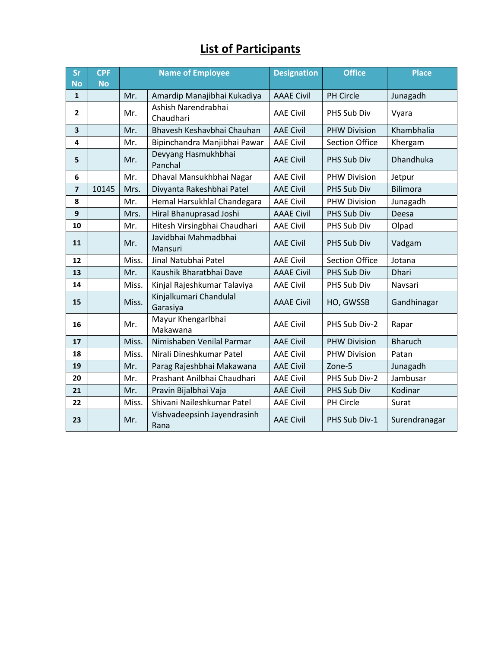## **List of Participants**

| Sr<br><b>No</b>         | <b>CPF</b><br><b>No</b> | <b>Name of Employee</b> |                                     | <b>Designation</b> | <b>Office</b>         | <b>Place</b>    |
|-------------------------|-------------------------|-------------------------|-------------------------------------|--------------------|-----------------------|-----------------|
| $\mathbf{1}$            |                         | Mr.                     | Amardip Manajibhai Kukadiya         | <b>AAAE Civil</b>  | PH Circle             | Junagadh        |
| $\mathbf{2}$            |                         | Mr.                     | Ashish Narendrabhai<br>Chaudhari    | <b>AAE Civil</b>   | PHS Sub Div           | Vyara           |
| 3                       |                         | Mr.                     | Bhavesh Keshavbhai Chauhan          | <b>AAE Civil</b>   | <b>PHW Division</b>   | Khambhalia      |
| 4                       |                         | Mr.                     | Bipinchandra Manjibhai Pawar        | <b>AAE Civil</b>   | <b>Section Office</b> | Khergam         |
| 5                       |                         | Mr.                     | Devyang Hasmukhbhai<br>Panchal      | <b>AAE Civil</b>   | PHS Sub Div           | Dhandhuka       |
| 6                       |                         | Mr.                     | Dhaval Mansukhbhai Nagar            | <b>AAE Civil</b>   | <b>PHW Division</b>   | Jetpur          |
| $\overline{\mathbf{z}}$ | 10145                   | Mrs.                    | Divyanta Rakeshbhai Patel           | <b>AAE Civil</b>   | PHS Sub Div           | <b>Bilimora</b> |
| 8                       |                         | Mr.                     | Hemal Harsukhlal Chandegara         | <b>AAE Civil</b>   | <b>PHW Division</b>   | Junagadh        |
| 9                       |                         | Mrs.                    | Hiral Bhanuprasad Joshi             | <b>AAAE Civil</b>  | PHS Sub Div           | Deesa           |
| 10                      |                         | Mr.                     | Hitesh Virsingbhai Chaudhari        | <b>AAE Civil</b>   | PHS Sub Div           | Olpad           |
| 11                      |                         | Mr.                     | Javidbhai Mahmadbhai<br>Mansuri     | <b>AAE Civil</b>   | PHS Sub Div           | Vadgam          |
| 12                      |                         | Miss.                   | Jinal Natubhai Patel                | <b>AAE Civil</b>   | <b>Section Office</b> | Jotana          |
| 13                      |                         | Mr.                     | Kaushik Bharatbhai Dave             | <b>AAAE Civil</b>  | PHS Sub Div           | Dhari           |
| 14                      |                         | Miss.                   | Kinjal Rajeshkumar Talaviya         | <b>AAE Civil</b>   | PHS Sub Div           | Navsari         |
| 15                      |                         | Miss.                   | Kinjalkumari Chandulal<br>Garasiya  | <b>AAAE Civil</b>  | HO, GWSSB             | Gandhinagar     |
| 16                      |                         | Mr.                     | Mayur Khengarlbhai<br>Makawana      | <b>AAE Civil</b>   | PHS Sub Div-2         | Rapar           |
| 17                      |                         | Miss.                   | Nimishaben Venilal Parmar           | <b>AAE Civil</b>   | <b>PHW Division</b>   | <b>Bharuch</b>  |
| 18                      |                         | Miss.                   | Nirali Dineshkumar Patel            | <b>AAE Civil</b>   | <b>PHW Division</b>   | Patan           |
| 19                      |                         | Mr.                     | Parag Rajeshbhai Makawana           | <b>AAE Civil</b>   | Zone-5                | Junagadh        |
| 20                      |                         | Mr.                     | Prashant Anilbhai Chaudhari         | <b>AAE Civil</b>   | PHS Sub Div-2         | Jambusar        |
| 21                      |                         | Mr.                     | Pravin Bijalbhai Vaja               | <b>AAE Civil</b>   | PHS Sub Div           | Kodinar         |
| 22                      |                         | Miss.                   | Shivani Naileshkumar Patel          | <b>AAE Civil</b>   | PH Circle             | Surat           |
| 23                      |                         | Mr.                     | Vishvadeepsinh Jayendrasinh<br>Rana | <b>AAE Civil</b>   | PHS Sub Div-1         | Surendranagar   |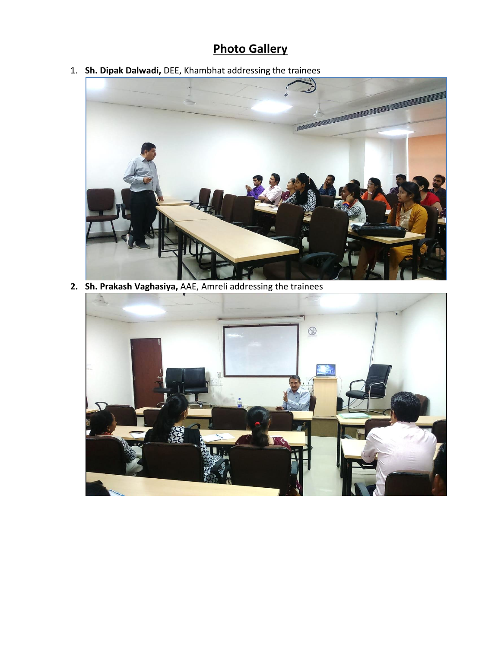## **Photo Gallery**

1. **Sh. Dipak Dalwadi,** DEE, Khambhat addressing the trainees



**2. Sh. Prakash Vaghasiya,** AAE, Amreli addressing the trainees

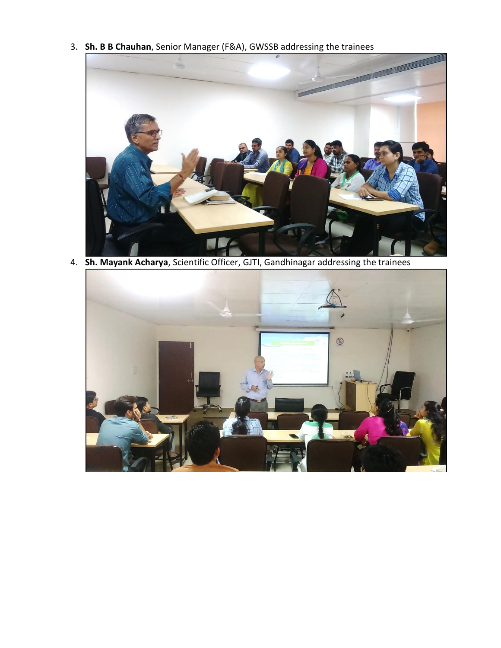3. **Sh. B B Chauhan**, Senior Manager (F&A), GWSSB addressing the trainees



4. **Sh. Mayank Acharya**, Scientific Officer, GJTI, Gandhinagar addressing the trainees

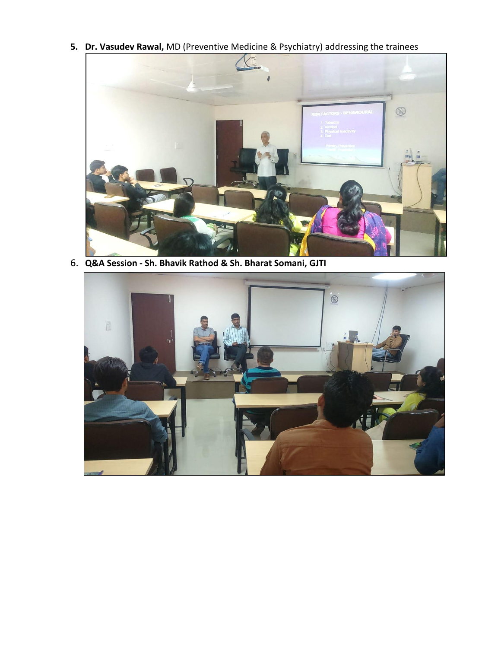**5. Dr. Vasudev Rawal,** MD (Preventive Medicine & Psychiatry) addressing the trainees



6. **Q&A Session - Sh. Bhavik Rathod & Sh. Bharat Somani, GJTI**